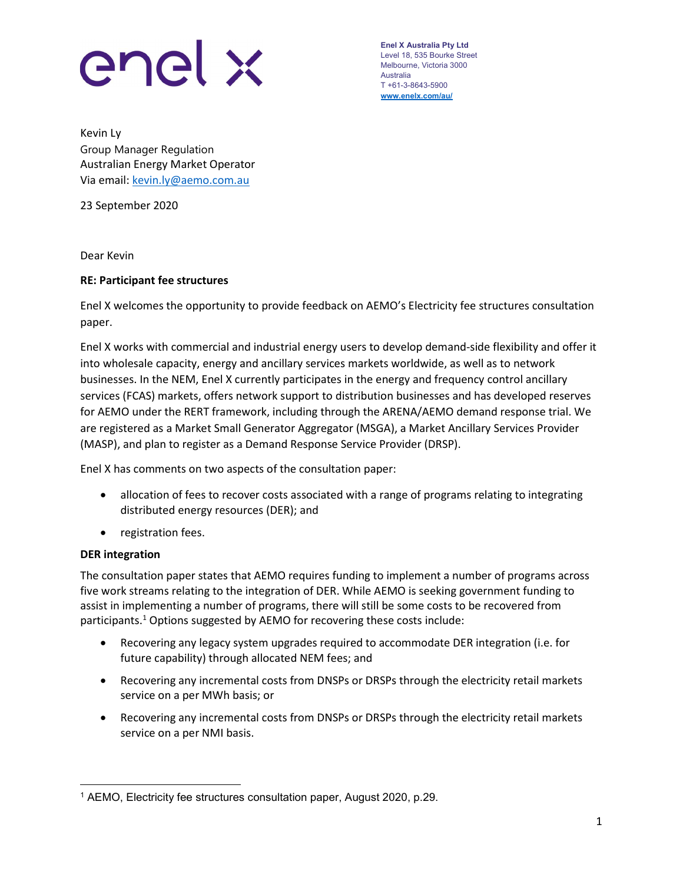

Enel X Australia Pty Ltd Level 18, 535 Bourke Street Melbourne, Victoria 3000 Australia T +61-3-8643-5900 www.enelx.com/au/

Kevin Ly Group Manager Regulation Australian Energy Market Operator Via email: kevin.ly@aemo.com.au

23 September 2020

Dear Kevin

## RE: Participant fee structures

Enel X welcomes the opportunity to provide feedback on AEMO's Electricity fee structures consultation paper.

Enel X works with commercial and industrial energy users to develop demand-side flexibility and offer it into wholesale capacity, energy and ancillary services markets worldwide, as well as to network businesses. In the NEM, Enel X currently participates in the energy and frequency control ancillary services (FCAS) markets, offers network support to distribution businesses and has developed reserves for AEMO under the RERT framework, including through the ARENA/AEMO demand response trial. We are registered as a Market Small Generator Aggregator (MSGA), a Market Ancillary Services Provider (MASP), and plan to register as a Demand Response Service Provider (DRSP).

Enel X has comments on two aspects of the consultation paper:

- allocation of fees to recover costs associated with a range of programs relating to integrating distributed energy resources (DER); and
- registration fees.

## DER integration

The consultation paper states that AEMO requires funding to implement a number of programs across five work streams relating to the integration of DER. While AEMO is seeking government funding to assist in implementing a number of programs, there will still be some costs to be recovered from participants.<sup>1</sup> Options suggested by AEMO for recovering these costs include:

- Recovering any legacy system upgrades required to accommodate DER integration (i.e. for future capability) through allocated NEM fees; and
- Recovering any incremental costs from DNSPs or DRSPs through the electricity retail markets service on a per MWh basis; or
- Recovering any incremental costs from DNSPs or DRSPs through the electricity retail markets service on a per NMI basis.

 1 AEMO, Electricity fee structures consultation paper, August 2020, p.29.